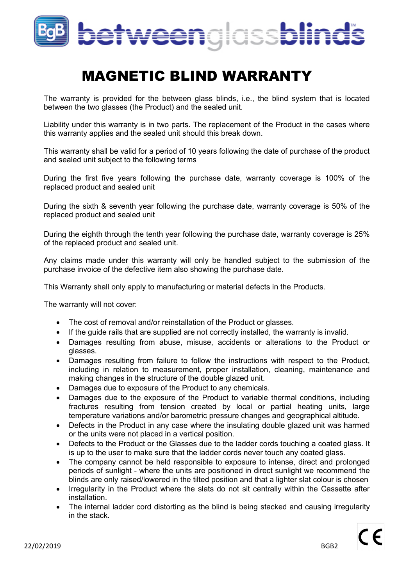

## MAGNETIC BLIND WARRANTY

The warranty is provided for the between glass blinds, i.e., the blind system that is located between the two glasses (the Product) and the sealed unit.

Liability under this warranty is in two parts. The replacement of the Product in the cases where this warranty applies and the sealed unit should this break down.

This warranty shall be valid for a period of 10 years following the date of purchase of the product and sealed unit subject to the following terms

During the first five years following the purchase date, warranty coverage is 100% of the replaced product and sealed unit

During the sixth & seventh year following the purchase date, warranty coverage is 50% of the replaced product and sealed unit

During the eighth through the tenth year following the purchase date, warranty coverage is 25% of the replaced product and sealed unit.

Any claims made under this warranty will only be handled subject to the submission of the purchase invoice of the defective item also showing the purchase date.

This Warranty shall only apply to manufacturing or material defects in the Products.

The warranty will not cover:

- The cost of removal and/or reinstallation of the Product or glasses.
- If the guide rails that are supplied are not correctly installed, the warranty is invalid.
- Damages resulting from abuse, misuse, accidents or alterations to the Product or glasses.
- Damages resulting from failure to follow the instructions with respect to the Product, including in relation to measurement, proper installation, cleaning, maintenance and making changes in the structure of the double glazed unit.
- Damages due to exposure of the Product to any chemicals.
- Damages due to the exposure of the Product to variable thermal conditions, including fractures resulting from tension created by local or partial heating units, large temperature variations and/or barometric pressure changes and geographical altitude.
- Defects in the Product in any case where the insulating double glazed unit was harmed or the units were not placed in a vertical position.
- Defects to the Product or the Glasses due to the ladder cords touching a coated glass. It is up to the user to make sure that the ladder cords never touch any coated glass.
- The company cannot be held responsible to exposure to intense, direct and prolonged periods of sunlight - where the units are positioned in direct sunlight we recommend the blinds are only raised/lowered in the tilted position and that a lighter slat colour is chosen
- Irregularity in the Product where the slats do not sit centrally within the Cassette after installation.
- The internal ladder cord distorting as the blind is being stacked and causing irregularity in the stack.